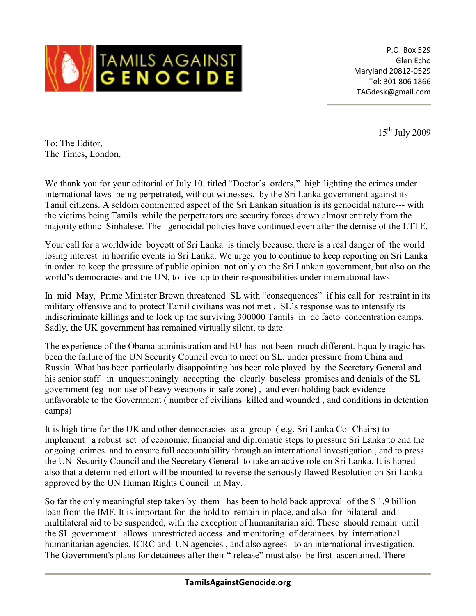

P.O. Box 529 Glen Echo Maryland 20812-0529 Tel: 301 806 1866 TAGdesk@gmail.com

 $15^{\text{th}}$  July 2009

To: The Editor, The Times, London,

We thank you for your editorial of July 10, titled "Doctor's orders," high lighting the crimes under international laws being perpetrated, without witnesses, by the Sri Lanka government against its Tamil citizens. A seldom commented aspect of the Sri Lankan situation is its genocidal nature--- with the victims being Tamils while the perpetrators are security forces drawn almost entirely from the majority ethnic Sinhalese. The genocidal policies have continued even after the demise of the LTTE.

Your call for a worldwide boycott of Sri Lanka is timely because, there is a real danger of the world losing interest in horrific events in Sri Lanka. We urge you to continue to keep reporting on Sri Lanka in order to keep the pressure of public opinion not only on the Sri Lankan government, but also on the world's democracies and the UN, to live up to their responsibilities under international laws

In mid May, Prime Minister Brown threatened SL with "consequences" if his call for restraint in its military offensive and to protect Tamil civilians was not met . SL's response was to intensify its indiscriminate killings and to lock up the surviving 300000 Tamils in de facto concentration camps. Sadly, the UK government has remained virtually silent, to date.

The experience of the Obama administration and EU has not been much different. Equally tragic has been the failure of the UN Security Council even to meet on SL, under pressure from China and Russia. What has been particularly disappointing has been role played by the Secretary General and his senior staff in unquestioningly accepting the clearly baseless promises and denials of the SL government (eg non use of heavy weapons in safe zone) , and even holding back evidence unfavorable to the Government ( number of civilians killed and wounded , and conditions in detention camps)

It is high time for the UK and other democracies as a group ( e.g. Sri Lanka Co- Chairs) to implement a robust set of economic, financial and diplomatic steps to pressure Sri Lanka to end the ongoing crimes and to ensure full accountability through an international investigation., and to press the UN Security Council and the Secretary General to take an active role on Sri Lanka. It is hoped also that a determined effort will be mounted to reverse the seriously flawed Resolution on Sri Lanka approved by the UN Human Rights Council in May.

So far the only meaningful step taken by them has been to hold back approval of the \$ 1.9 billion loan from the IMF. It is important for the hold to remain in place, and also for bilateral and multilateral aid to be suspended, with the exception of humanitarian aid. These should remain until the SL government allows unrestricted access and monitoring of detainees. by international humanitarian agencies, ICRC and UN agencies , and also agrees to an international investigation. The Government's plans for detainees after their " release" must also be first ascertained. There